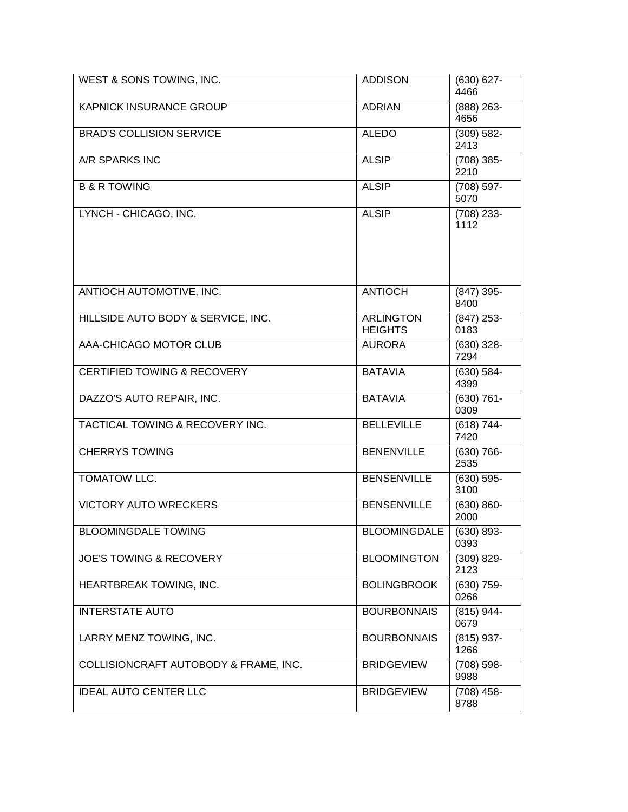| WEST & SONS TOWING, INC.               | <b>ADDISON</b>                     | $(630) 627 -$<br>4466 |
|----------------------------------------|------------------------------------|-----------------------|
| <b>KAPNICK INSURANCE GROUP</b>         | <b>ADRIAN</b>                      | $(888)$ 263-<br>4656  |
| <b>BRAD'S COLLISION SERVICE</b>        | <b>ALEDO</b>                       | $(309) 582 -$<br>2413 |
| A/R SPARKS INC                         | <b>ALSIP</b>                       | $(708)$ 385-<br>2210  |
| <b>B &amp; R TOWING</b>                | <b>ALSIP</b>                       | $(708)$ 597-<br>5070  |
| LYNCH - CHICAGO, INC.                  | <b>ALSIP</b>                       | $(708)$ 233-<br>1112  |
| ANTIOCH AUTOMOTIVE, INC.               | <b>ANTIOCH</b>                     | $(847)$ 395-<br>8400  |
| HILLSIDE AUTO BODY & SERVICE, INC.     | <b>ARLINGTON</b><br><b>HEIGHTS</b> | $(847)$ 253-<br>0183  |
| AAA-CHICAGO MOTOR CLUB                 | <b>AURORA</b>                      | $(630)$ 328-<br>7294  |
| <b>CERTIFIED TOWING &amp; RECOVERY</b> | <b>BATAVIA</b>                     | $(630) 584 -$<br>4399 |
| DAZZO'S AUTO REPAIR, INC.              | <b>BATAVIA</b>                     | $(630) 761 -$<br>0309 |
| TACTICAL TOWING & RECOVERY INC.        | <b>BELLEVILLE</b>                  | $(618) 744-$<br>7420  |
| <b>CHERRYS TOWING</b>                  | <b>BENENVILLE</b>                  | $(630) 766 -$<br>2535 |
| TOMATOW LLC.                           | <b>BENSENVILLE</b>                 | $(630) 595 -$<br>3100 |
| <b>VICTORY AUTO WRECKERS</b>           | <b>BENSENVILLE</b>                 | $(630) 860 -$<br>2000 |
| <b>BLOOMINGDALE TOWING</b>             | BLOOMINGDALE                       | $(630) 893 -$<br>0393 |
| <b>JOE'S TOWING &amp; RECOVERY</b>     | <b>BLOOMINGTON</b>                 | $(309) 829 -$<br>2123 |
| HEARTBREAK TOWING, INC.                | <b>BOLINGBROOK</b>                 | $(630)$ 759-<br>0266  |
| <b>INTERSTATE AUTO</b>                 | <b>BOURBONNAIS</b>                 | $(815)$ 944-<br>0679  |
| LARRY MENZ TOWING, INC.                | <b>BOURBONNAIS</b>                 | $(815)$ 937-<br>1266  |
| COLLISIONCRAFT AUTOBODY & FRAME, INC.  | <b>BRIDGEVIEW</b>                  | $(708)$ 598-<br>9988  |
| <b>IDEAL AUTO CENTER LLC</b>           | <b>BRIDGEVIEW</b>                  | $(708)$ 458-<br>8788  |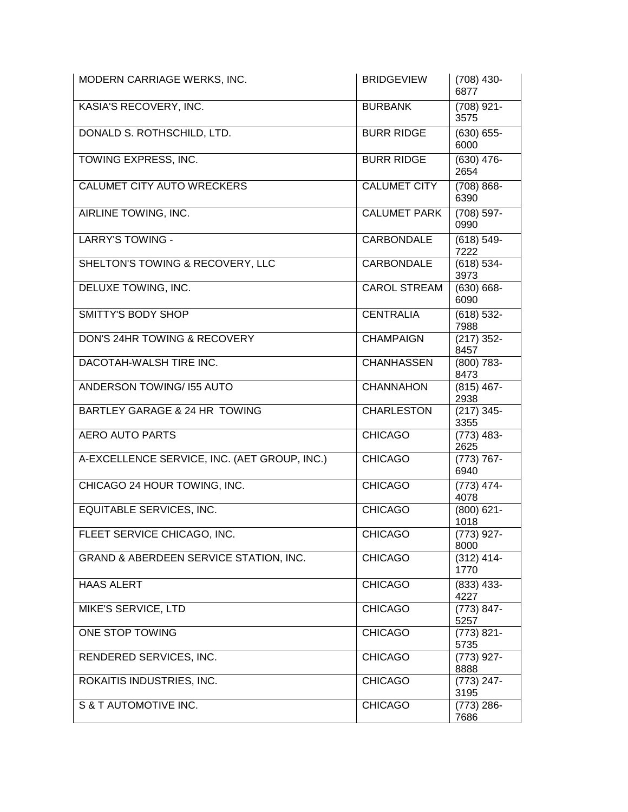| MODERN CARRIAGE WERKS, INC.                       | <b>BRIDGEVIEW</b>   | $(708)$ 430-<br>6877  |
|---------------------------------------------------|---------------------|-----------------------|
| KASIA'S RECOVERY, INC.                            | <b>BURBANK</b>      | $(708)$ 921-<br>3575  |
| DONALD S. ROTHSCHILD, LTD.                        | <b>BURR RIDGE</b>   | $(630) 655 -$<br>6000 |
| TOWING EXPRESS, INC.                              | <b>BURR RIDGE</b>   | $(630)$ 476-<br>2654  |
| <b>CALUMET CITY AUTO WRECKERS</b>                 | <b>CALUMET CITY</b> | $(708) 868 -$<br>6390 |
| AIRLINE TOWING, INC.                              | <b>CALUMET PARK</b> | $(708)$ 597-<br>0990  |
| <b>LARRY'S TOWING -</b>                           | <b>CARBONDALE</b>   | $(618) 549 -$<br>7222 |
| SHELTON'S TOWING & RECOVERY, LLC                  | CARBONDALE          | $(618) 534 -$<br>3973 |
| <b>DELUXE TOWING, INC.</b>                        | <b>CAROL STREAM</b> | $(630) 668 -$<br>6090 |
| <b>SMITTY'S BODY SHOP</b>                         | <b>CENTRALIA</b>    | $(618) 532 -$<br>7988 |
| DON'S 24HR TOWING & RECOVERY                      | <b>CHAMPAIGN</b>    | $(217)$ 352-<br>8457  |
| DACOTAH-WALSH TIRE INC.                           | <b>CHANHASSEN</b>   | $(800)$ 783-<br>8473  |
| ANDERSON TOWING/ 155 AUTO                         | <b>CHANNAHON</b>    | $(815)$ 467-<br>2938  |
| BARTLEY GARAGE & 24 HR TOWING                     | <b>CHARLESTON</b>   | $(217)$ 345-<br>3355  |
| <b>AERO AUTO PARTS</b>                            | <b>CHICAGO</b>      | $(773)$ 483-<br>2625  |
| A-EXCELLENCE SERVICE, INC. (AET GROUP, INC.)      | <b>CHICAGO</b>      | $(773) 767 -$<br>6940 |
| CHICAGO 24 HOUR TOWING, INC.                      | <b>CHICAGO</b>      | $(773)$ 474-<br>4078  |
| <b>EQUITABLE SERVICES, INC.</b>                   | <b>CHICAGO</b>      | $(800)$ 621-<br>1018  |
| FLEET SERVICE CHICAGO, INC.                       | <b>CHICAGO</b>      | $(773)$ 927-<br>8000  |
| <b>GRAND &amp; ABERDEEN SERVICE STATION, INC.</b> | <b>CHICAGO</b>      | $(312) 414 -$<br>1770 |
| <b>HAAS ALERT</b>                                 | <b>CHICAGO</b>      | $(833)$ 433-<br>4227  |
| <b>MIKE'S SERVICE, LTD</b>                        | <b>CHICAGO</b>      | $(773) 847 -$<br>5257 |
| ONE STOP TOWING                                   | <b>CHICAGO</b>      | $(773) 821 -$<br>5735 |
| RENDERED SERVICES, INC.                           | <b>CHICAGO</b>      | $(773)$ 927-<br>8888  |
| ROKAITIS INDUSTRIES, INC.                         | <b>CHICAGO</b>      | $(773)$ 247-<br>3195  |
| S & T AUTOMOTIVE INC.                             | <b>CHICAGO</b>      | $(773)$ 286-<br>7686  |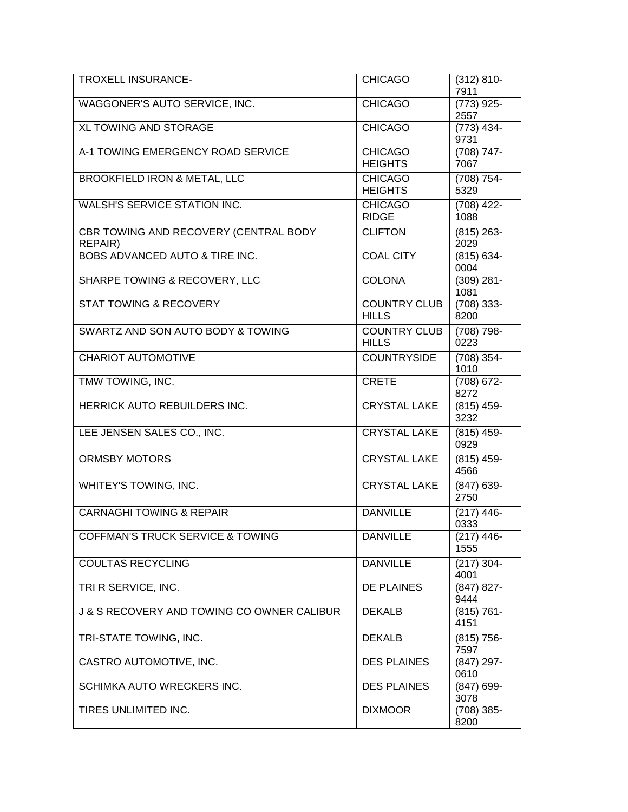| <b>TROXELL INSURANCE-</b>                             | <b>CHICAGO</b>                      | $(312) 810 -$<br>7911 |
|-------------------------------------------------------|-------------------------------------|-----------------------|
| WAGGONER'S AUTO SERVICE, INC.                         | <b>CHICAGO</b>                      | $(773)$ 925-<br>2557  |
| <b>XL TOWING AND STORAGE</b>                          | <b>CHICAGO</b>                      | $(773)$ 434-<br>9731  |
| A-1 TOWING EMERGENCY ROAD SERVICE                     | <b>CHICAGO</b><br><b>HEIGHTS</b>    | $(708) 747 -$<br>7067 |
| BROOKFIELD IRON & METAL, LLC                          | <b>CHICAGO</b><br><b>HEIGHTS</b>    | $(708) 754-$<br>5329  |
| <b>WALSH'S SERVICE STATION INC.</b>                   | <b>CHICAGO</b><br><b>RIDGE</b>      | $(708)$ 422-<br>1088  |
| CBR TOWING AND RECOVERY (CENTRAL BODY<br>REPAIR)      | <b>CLIFTON</b>                      | $(815)$ 263-<br>2029  |
| <b>BOBS ADVANCED AUTO &amp; TIRE INC.</b>             | <b>COAL CITY</b>                    | $(815) 634 -$<br>0004 |
| SHARPE TOWING & RECOVERY, LLC                         | <b>COLONA</b>                       | $(309)$ 281-<br>1081  |
| <b>STAT TOWING &amp; RECOVERY</b>                     | <b>COUNTRY CLUB</b><br><b>HILLS</b> | $(708)$ 333-<br>8200  |
| SWARTZ AND SON AUTO BODY & TOWING                     | <b>COUNTRY CLUB</b><br><b>HILLS</b> | (708) 798-<br>0223    |
| <b>CHARIOT AUTOMOTIVE</b>                             | <b>COUNTRYSIDE</b>                  | (708) 354-<br>1010    |
| TMW TOWING, INC.                                      | <b>CRETE</b>                        | $(708) 672 -$<br>8272 |
| HERRICK AUTO REBUILDERS INC.                          | <b>CRYSTAL LAKE</b>                 | $(815)$ 459-<br>3232  |
| LEE JENSEN SALES CO., INC.                            | <b>CRYSTAL LAKE</b>                 | $(815)$ 459-<br>0929  |
| <b>ORMSBY MOTORS</b>                                  | <b>CRYSTAL LAKE</b>                 | $(815)$ 459-<br>4566  |
| WHITEY'S TOWING, INC.                                 | <b>CRYSTAL LAKE</b>                 | $(847) 639-$<br>2750  |
| <b>CARNAGHI TOWING &amp; REPAIR</b>                   | <b>DANVILLE</b>                     | $(217)$ 446-<br>0333  |
| COFFMAN'S TRUCK SERVICE & TOWING                      | <b>DANVILLE</b>                     | $(217)$ 446-<br>1555  |
| <b>COULTAS RECYCLING</b>                              | <b>DANVILLE</b>                     | $(217) 304 -$<br>4001 |
| TRI R SERVICE, INC.                                   | DE PLAINES                          | $(847) 827 -$<br>9444 |
| <b>J &amp; S RECOVERY AND TOWING CO OWNER CALIBUR</b> | <b>DEKALB</b>                       | $(815) 761 -$<br>4151 |
| TRI-STATE TOWING, INC.                                | <b>DEKALB</b>                       | $(815)$ 756-<br>7597  |
| CASTRO AUTOMOTIVE, INC.                               | <b>DES PLAINES</b>                  | $(847)$ 297-<br>0610  |
| SCHIMKA AUTO WRECKERS INC.                            | <b>DES PLAINES</b>                  | $(847) 699 -$<br>3078 |
| TIRES UNLIMITED INC.                                  | <b>DIXMOOR</b>                      | $(708)$ 385-<br>8200  |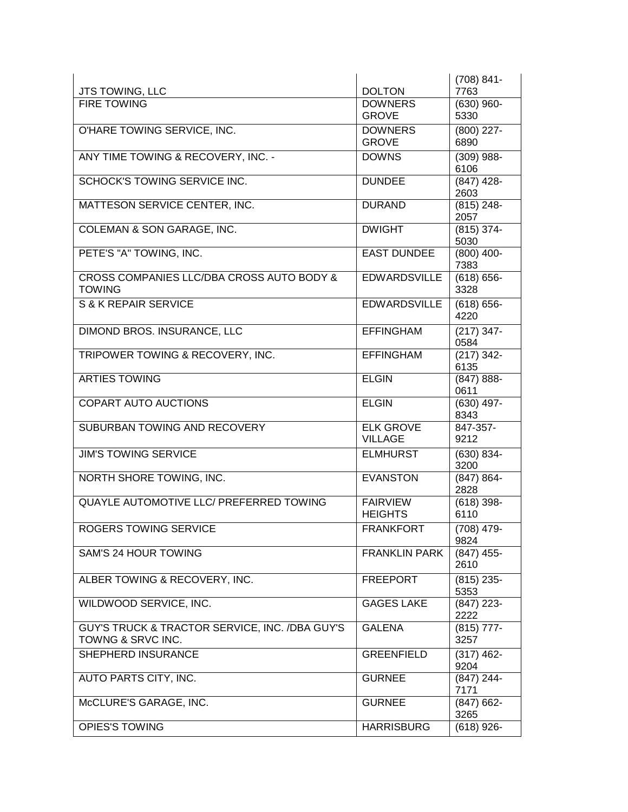| <b>JTS TOWING, LLC</b>                                              | <b>DOLTON</b>        | $(708) 841 -$<br>7763 |
|---------------------------------------------------------------------|----------------------|-----------------------|
| <b>FIRE TOWING</b>                                                  | <b>DOWNERS</b>       | $(630)$ 960-          |
|                                                                     | <b>GROVE</b>         | 5330                  |
| O'HARE TOWING SERVICE, INC.                                         | <b>DOWNERS</b>       | $(800)$ 227-          |
|                                                                     | <b>GROVE</b>         | 6890                  |
| ANY TIME TOWING & RECOVERY, INC. -                                  | <b>DOWNS</b>         | $(309)$ 988-          |
|                                                                     |                      | 6106                  |
| SCHOCK'S TOWING SERVICE INC.                                        | <b>DUNDEE</b>        | $(847)$ 428-          |
|                                                                     |                      | 2603                  |
| MATTESON SERVICE CENTER, INC.                                       | <b>DURAND</b>        | $(815)$ 248-          |
|                                                                     |                      | 2057                  |
| COLEMAN & SON GARAGE, INC.                                          | <b>DWIGHT</b>        | $(815)$ 374-          |
|                                                                     |                      | 5030                  |
| PETE'S "A" TOWING, INC.                                             | <b>EAST DUNDEE</b>   | $(800)$ 400-<br>7383  |
| CROSS COMPANIES LLC/DBA CROSS AUTO BODY &                           | <b>EDWARDSVILLE</b>  | $(618) 656 -$         |
| <b>TOWING</b>                                                       |                      | 3328                  |
| <b>S &amp; K REPAIR SERVICE</b>                                     | <b>EDWARDSVILLE</b>  | $(618) 656 -$         |
|                                                                     |                      | 4220                  |
| <b>DIMOND BROS. INSURANCE, LLC</b>                                  | <b>EFFINGHAM</b>     | $(217)$ 347-          |
|                                                                     |                      | 0584                  |
| TRIPOWER TOWING & RECOVERY, INC.                                    | <b>EFFINGHAM</b>     | $(217)$ 342-          |
|                                                                     |                      | 6135                  |
| <b>ARTIES TOWING</b>                                                | <b>ELGIN</b>         | $(847) 888 -$         |
|                                                                     |                      | 0611                  |
| <b>COPART AUTO AUCTIONS</b>                                         | <b>ELGIN</b>         | $(630)$ 497-          |
|                                                                     |                      | 8343                  |
| SUBURBAN TOWING AND RECOVERY                                        | <b>ELK GROVE</b>     | 847-357-              |
|                                                                     | <b>VILLAGE</b>       | 9212                  |
| <b>JIM'S TOWING SERVICE</b>                                         | <b>ELMHURST</b>      | $(630) 834 -$<br>3200 |
| NORTH SHORE TOWING, INC.                                            | <b>EVANSTON</b>      | $(847) 864 -$         |
|                                                                     |                      | 2828                  |
| QUAYLE AUTOMOTIVE LLC/ PREFERRED TOWING                             | <b>FAIRVIEW</b>      | $(618)$ 398-          |
|                                                                     | <b>HEIGHTS</b>       | 6110                  |
| <b>ROGERS TOWING SERVICE</b>                                        | <b>FRANKFORT</b>     | $(708)$ 479-          |
|                                                                     |                      | 9824                  |
| SAM'S 24 HOUR TOWING                                                | <b>FRANKLIN PARK</b> | $(847)$ 455-          |
|                                                                     |                      | 2610                  |
| ALBER TOWING & RECOVERY, INC.                                       | <b>FREEPORT</b>      | $(815)$ 235-          |
|                                                                     |                      | 5353                  |
| WILDWOOD SERVICE, INC.                                              | <b>GAGES LAKE</b>    | $(847)$ 223-          |
|                                                                     |                      | 2222                  |
| GUY'S TRUCK & TRACTOR SERVICE, INC. /DBA GUY'S<br>TOWNG & SRVC INC. | <b>GALENA</b>        | $(815)$ 777-<br>3257  |
|                                                                     |                      |                       |
| SHEPHERD INSURANCE                                                  | <b>GREENFIELD</b>    | $(317)$ 462-<br>9204  |
| AUTO PARTS CITY, INC.                                               | <b>GURNEE</b>        | $(847)$ 244-          |
|                                                                     |                      | 7171                  |
| McCLURE'S GARAGE, INC.                                              | <b>GURNEE</b>        | $(847) 662 -$         |
|                                                                     |                      | 3265                  |
| <b>OPIES'S TOWING</b>                                               | <b>HARRISBURG</b>    | $(618)$ 926-          |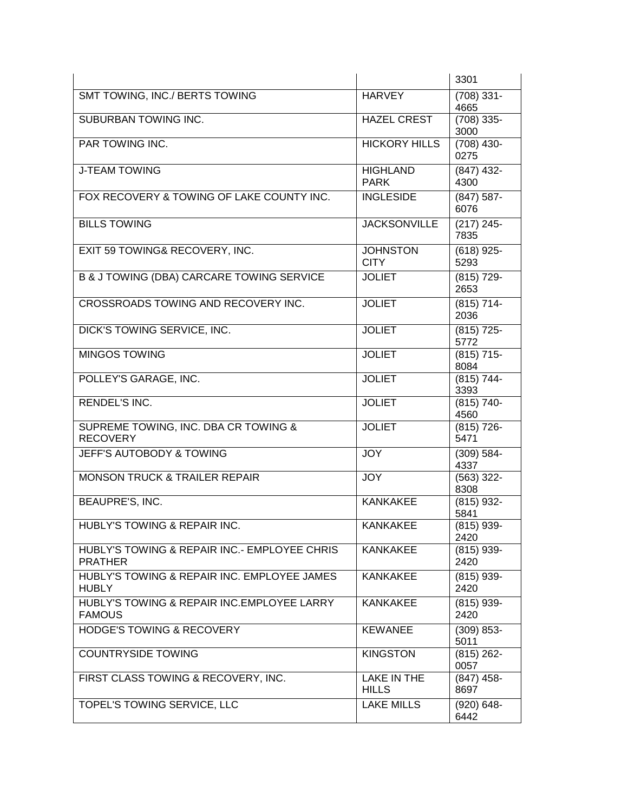|                                                                |                                | 3301                  |
|----------------------------------------------------------------|--------------------------------|-----------------------|
| SMT TOWING, INC./ BERTS TOWING                                 | <b>HARVEY</b>                  | $(708)$ 331-<br>4665  |
| <b>SUBURBAN TOWING INC.</b>                                    | <b>HAZEL CREST</b>             | $(708)$ 335-<br>3000  |
| <b>PAR TOWING INC.</b>                                         | <b>HICKORY HILLS</b>           | $(708)$ 430-<br>0275  |
| <b>J-TEAM TOWING</b>                                           | <b>HIGHLAND</b><br><b>PARK</b> | $(847)$ 432-<br>4300  |
| FOX RECOVERY & TOWING OF LAKE COUNTY INC.                      | <b>INGLESIDE</b>               | $(847) 587 -$<br>6076 |
| <b>BILLS TOWING</b>                                            | <b>JACKSONVILLE</b>            | $(217)$ 245-<br>7835  |
| EXIT 59 TOWING& RECOVERY, INC.                                 | <b>JOHNSTON</b><br><b>CITY</b> | $(618)$ 925-<br>5293  |
| <b>B &amp; J TOWING (DBA) CARCARE TOWING SERVICE</b>           | <b>JOLIET</b>                  | $(815)$ 729-<br>2653  |
| CROSSROADS TOWING AND RECOVERY INC.                            | <b>JOLIET</b>                  | $(815) 714-$<br>2036  |
| DICK'S TOWING SERVICE, INC.                                    | <b>JOLIET</b>                  | $(815)$ 725-<br>5772  |
| <b>MINGOS TOWING</b>                                           | <b>JOLIET</b>                  | $(815)$ 715-<br>8084  |
| POLLEY'S GARAGE, INC.                                          | <b>JOLIET</b>                  | $(815) 744-$<br>3393  |
| <b>RENDEL'S INC.</b>                                           | <b>JOLIET</b>                  | $(815) 740-$<br>4560  |
| SUPREME TOWING, INC. DBA CR TOWING &<br><b>RECOVERY</b>        | <b>JOLIET</b>                  | $(815) 726 -$<br>5471 |
| JEFF'S AUTOBODY & TOWING                                       | <b>JOY</b>                     | $(309) 584 -$<br>4337 |
| <b>MONSON TRUCK &amp; TRAILER REPAIR</b>                       | <b>JOY</b>                     | $(563)$ 322-<br>8308  |
| BEAUPRE'S, INC.                                                | <b>KANKAKEE</b>                | $(815)$ 932-<br>5841  |
| HUBLY'S TOWING & REPAIR INC.                                   | <b>KANKAKEE</b>                | $(815)$ 939-<br>2420  |
| HUBLY'S TOWING & REPAIR INC.- EMPLOYEE CHRIS<br><b>PRATHER</b> | <b>KANKAKEE</b>                | $(815)$ 939-<br>2420  |
| HUBLY'S TOWING & REPAIR INC. EMPLOYEE JAMES<br><b>HUBLY</b>    | <b>KANKAKEE</b>                | $(815)$ 939-<br>2420  |
| HUBLY'S TOWING & REPAIR INC. EMPLOYEE LARRY<br><b>FAMOUS</b>   | <b>KANKAKEE</b>                | $(815)$ 939-<br>2420  |
| <b>HODGE'S TOWING &amp; RECOVERY</b>                           | <b>KEWANEE</b>                 | $(309) 853 -$<br>5011 |
| <b>COUNTRYSIDE TOWING</b>                                      | <b>KINGSTON</b>                | $(815)$ 262-<br>0057  |
| FIRST CLASS TOWING & RECOVERY, INC.                            | LAKE IN THE<br><b>HILLS</b>    | $(847)$ 458-<br>8697  |
| TOPEL'S TOWING SERVICE, LLC                                    | <b>LAKE MILLS</b>              | $(920) 648 -$<br>6442 |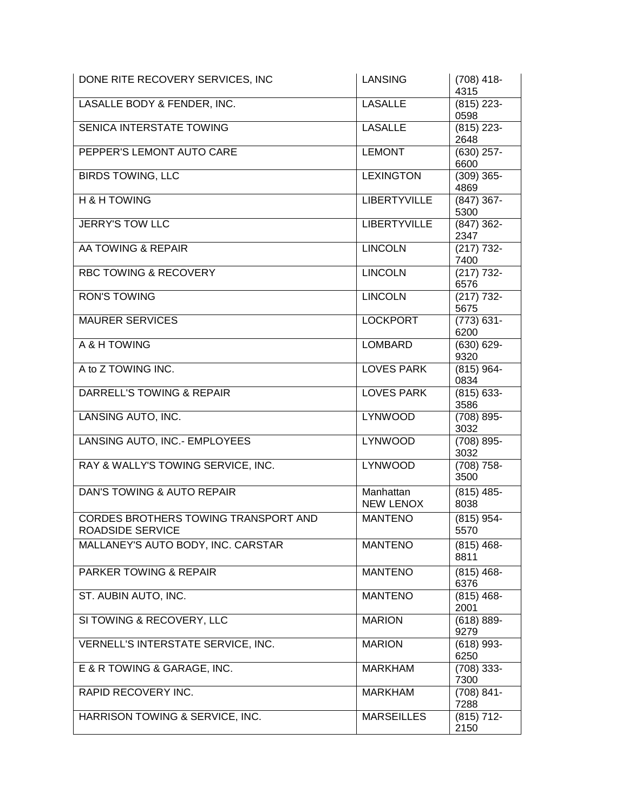| DONE RITE RECOVERY SERVICES, INC                                | <b>LANSING</b>                | $(708)$ 418-<br>4315  |
|-----------------------------------------------------------------|-------------------------------|-----------------------|
| LASALLE BODY & FENDER, INC.                                     | <b>LASALLE</b>                | $(815)$ 223-<br>0598  |
| <b>SENICA INTERSTATE TOWING</b>                                 | <b>LASALLE</b>                | $(815)$ 223-<br>2648  |
| PEPPER'S LEMONT AUTO CARE                                       | <b>LEMONT</b>                 | $(630)$ 257-<br>6600  |
| <b>BIRDS TOWING, LLC</b>                                        | <b>LEXINGTON</b>              | $(309)$ 365-<br>4869  |
| H & H TOWING                                                    | <b>LIBERTYVILLE</b>           | $(847)$ 367-<br>5300  |
| <b>JERRY'S TOW LLC</b>                                          | <b>LIBERTYVILLE</b>           | $(847)$ 362-<br>2347  |
| AA TOWING & REPAIR                                              | <b>LINCOLN</b>                | $(217) 732 -$<br>7400 |
| <b>RBC TOWING &amp; RECOVERY</b>                                | <b>LINCOLN</b>                | $(217) 732 -$<br>6576 |
| <b>RON'S TOWING</b>                                             | <b>LINCOLN</b>                | $(217) 732 -$<br>5675 |
| <b>MAURER SERVICES</b>                                          | <b>LOCKPORT</b>               | $(773) 631 -$<br>6200 |
| A & H TOWING                                                    | <b>LOMBARD</b>                | $(630) 629 -$<br>9320 |
| A to Z TOWING INC.                                              | <b>LOVES PARK</b>             | $(815)$ 964-<br>0834  |
| DARRELL'S TOWING & REPAIR                                       | <b>LOVES PARK</b>             | $(815) 633-$<br>3586  |
| LANSING AUTO, INC.                                              | <b>LYNWOOD</b>                | $(708) 895 -$<br>3032 |
| LANSING AUTO, INC.- EMPLOYEES                                   | <b>LYNWOOD</b>                | $(708) 895 -$<br>3032 |
| RAY & WALLY'S TOWING SERVICE, INC.                              | <b>LYNWOOD</b>                | $(708) 758 -$<br>3500 |
| DAN'S TOWING & AUTO REPAIR                                      | Manhattan<br><b>NEW LENOX</b> | $(815)$ 485-<br>8038  |
| CORDES BROTHERS TOWING TRANSPORT AND<br><b>ROADSIDE SERVICE</b> | <b>MANTENO</b>                | $(815)$ 954-<br>5570  |
| MALLANEY'S AUTO BODY, INC. CARSTAR                              | <b>MANTENO</b>                | $(815)$ 468-<br>8811  |
| <b>PARKER TOWING &amp; REPAIR</b>                               | <b>MANTENO</b>                | $(815)$ 468-<br>6376  |
| ST. AUBIN AUTO, INC.                                            | <b>MANTENO</b>                | $(815)$ 468-<br>2001  |
| SI TOWING & RECOVERY, LLC                                       | <b>MARION</b>                 | $(618) 889 -$<br>9279 |
| VERNELL'S INTERSTATE SERVICE, INC.                              | <b>MARION</b>                 | $(618)$ 993-<br>6250  |
| E & R TOWING & GARAGE, INC.                                     | <b>MARKHAM</b>                | $(708)$ 333-<br>7300  |
| RAPID RECOVERY INC.                                             | <b>MARKHAM</b>                | $(708) 841 -$<br>7288 |
| HARRISON TOWING & SERVICE, INC.                                 | <b>MARSEILLES</b>             | $(815)$ 712-<br>2150  |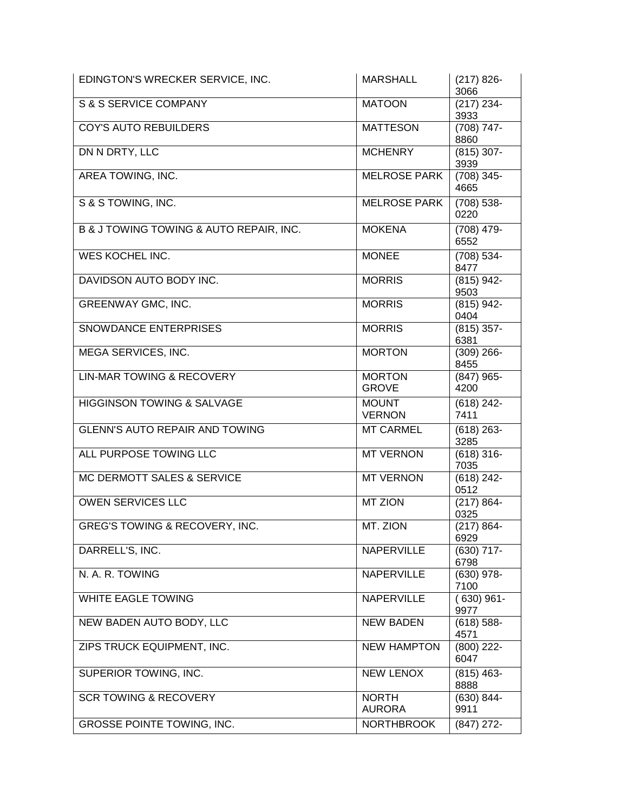| EDINGTON'S WRECKER SERVICE, INC.          | <b>MARSHALL</b>               | $(217) 826 -$<br>3066         |
|-------------------------------------------|-------------------------------|-------------------------------|
| S & S SERVICE COMPANY                     | <b>MATOON</b>                 | $(217)$ 234-<br>3933          |
| <b>COY'S AUTO REBUILDERS</b>              | <b>MATTESON</b>               | $(708) 747 -$<br>8860         |
| DN N DRTY, LLC                            | <b>MCHENRY</b>                | $(815) 307 -$<br>3939         |
| AREA TOWING, INC.                         | <b>MELROSE PARK</b>           | $(708)\overline{345}$<br>4665 |
| S & S TOWING, INC.                        | <b>MELROSE PARK</b>           | $(708)$ 538-<br>0220          |
| B & J TOWING TOWING & AUTO REPAIR, INC.   | <b>MOKENA</b>                 | $(708)$ 479-<br>6552          |
| WES KOCHEL INC.                           | <b>MONEE</b>                  | $(708) 534 -$<br>8477         |
| DAVIDSON AUTO BODY INC.                   | <b>MORRIS</b>                 | $(815)$ 942-<br>9503          |
| <b>GREENWAY GMC, INC.</b>                 | <b>MORRIS</b>                 | $(815)$ 942-<br>0404          |
| SNOWDANCE ENTERPRISES                     | <b>MORRIS</b>                 | $(815)$ 357-<br>6381          |
| <b>MEGA SERVICES, INC.</b>                | <b>MORTON</b>                 | $(309)$ 266-<br>8455          |
| <b>LIN-MAR TOWING &amp; RECOVERY</b>      | <b>MORTON</b><br><b>GROVE</b> | $(847)$ 965-<br>4200          |
| <b>HIGGINSON TOWING &amp; SALVAGE</b>     | <b>MOUNT</b><br><b>VERNON</b> | $(618)$ 242-<br>7411          |
| <b>GLENN'S AUTO REPAIR AND TOWING</b>     | <b>MT CARMEL</b>              | $(618)$ 263-<br>3285          |
| ALL PURPOSE TOWING LLC                    | <b>MT VERNON</b>              | $(618) 316 -$<br>7035         |
| <b>MC DERMOTT SALES &amp; SERVICE</b>     | <b>MT VERNON</b>              | $(618)$ 242-<br>0512          |
| <b>OWEN SERVICES LLC</b>                  | <b>MT ZION</b>                | $(217) 864 -$<br>0325         |
| <b>GREG'S TOWING &amp; RECOVERY, INC.</b> | MT. ZION                      | $(217) 864 -$<br>6929         |
| DARRELL'S, INC.                           | <b>NAPERVILLE</b>             | $(630)$ 717-<br>6798          |
| N. A. R. TOWING                           | NAPERVILLE                    | $(630)$ 978-<br>7100          |
| <b>WHITE EAGLE TOWING</b>                 | NAPERVILLE                    | $(630)$ 961-<br>9977          |
| NEW BADEN AUTO BODY, LLC                  | <b>NEW BADEN</b>              | $(618) 588 -$<br>4571         |
| ZIPS TRUCK EQUIPMENT, INC.                | <b>NEW HAMPTON</b>            | $(800)$ 222-<br>6047          |
| SUPERIOR TOWING, INC.                     | <b>NEW LENOX</b>              | $(815)$ 463-<br>8888          |
| <b>SCR TOWING &amp; RECOVERY</b>          | <b>NORTH</b><br><b>AURORA</b> | $(630) 844 -$<br>9911         |
| <b>GROSSE POINTE TOWING, INC.</b>         | <b>NORTHBROOK</b>             | $(847)$ 272-                  |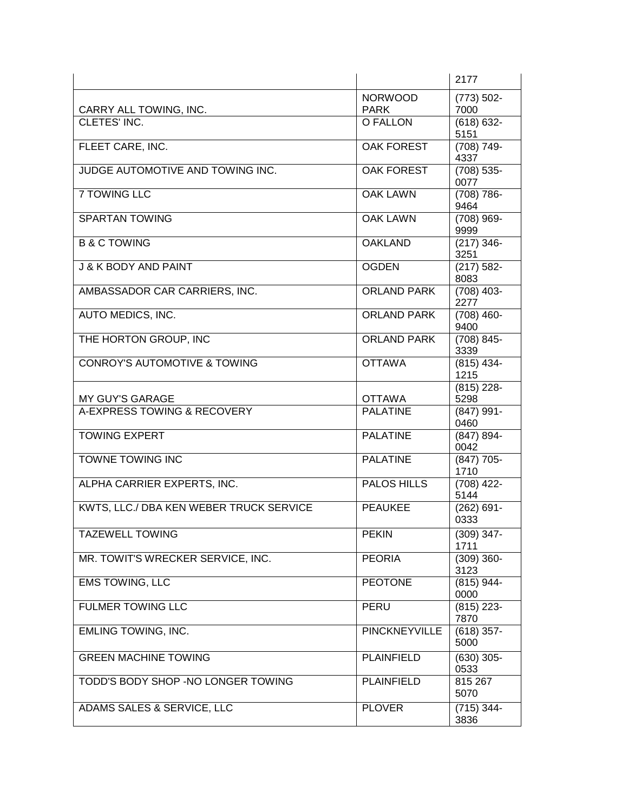| $(773) 502 -$<br><b>NORWOOD</b><br><b>PARK</b><br>7000<br>CARRY ALL TOWING, INC.<br>CLETES' INC.<br>O FALLON<br>$(618) 632 -$<br>5151<br>$(708) 749-$<br>FLEET CARE, INC.<br><b>OAK FOREST</b><br>4337<br>$(708) 535 -$<br>JUDGE AUTOMOTIVE AND TOWING INC.<br><b>OAK FOREST</b><br>0077<br><b>7 TOWING LLC</b><br><b>OAK LAWN</b><br>$(708) 786 -$<br>9464<br>$(708)$ 969-<br><b>SPARTAN TOWING</b><br><b>OAK LAWN</b><br>9999<br><b>B &amp; C TOWING</b><br><b>OAKLAND</b><br>$(217)$ 346-<br>3251<br>$(217) 582 -$<br><b>J &amp; K BODY AND PAINT</b><br><b>OGDEN</b><br>8083<br>AMBASSADOR CAR CARRIERS, INC.<br><b>ORLAND PARK</b><br>$(708)$ 403-<br>2277<br>AUTO MEDICS, INC.<br><b>ORLAND PARK</b><br>$(708)$ 460-<br>9400<br>THE HORTON GROUP, INC<br><b>ORLAND PARK</b><br>$(708) 845 -$<br>3339<br><b>CONROY'S AUTOMOTIVE &amp; TOWING</b><br><b>OTTAWA</b><br>$(815)$ 434-<br>1215 |
|------------------------------------------------------------------------------------------------------------------------------------------------------------------------------------------------------------------------------------------------------------------------------------------------------------------------------------------------------------------------------------------------------------------------------------------------------------------------------------------------------------------------------------------------------------------------------------------------------------------------------------------------------------------------------------------------------------------------------------------------------------------------------------------------------------------------------------------------------------------------------------------------|
|                                                                                                                                                                                                                                                                                                                                                                                                                                                                                                                                                                                                                                                                                                                                                                                                                                                                                                |
|                                                                                                                                                                                                                                                                                                                                                                                                                                                                                                                                                                                                                                                                                                                                                                                                                                                                                                |
|                                                                                                                                                                                                                                                                                                                                                                                                                                                                                                                                                                                                                                                                                                                                                                                                                                                                                                |
|                                                                                                                                                                                                                                                                                                                                                                                                                                                                                                                                                                                                                                                                                                                                                                                                                                                                                                |
|                                                                                                                                                                                                                                                                                                                                                                                                                                                                                                                                                                                                                                                                                                                                                                                                                                                                                                |
|                                                                                                                                                                                                                                                                                                                                                                                                                                                                                                                                                                                                                                                                                                                                                                                                                                                                                                |
|                                                                                                                                                                                                                                                                                                                                                                                                                                                                                                                                                                                                                                                                                                                                                                                                                                                                                                |
|                                                                                                                                                                                                                                                                                                                                                                                                                                                                                                                                                                                                                                                                                                                                                                                                                                                                                                |
|                                                                                                                                                                                                                                                                                                                                                                                                                                                                                                                                                                                                                                                                                                                                                                                                                                                                                                |
|                                                                                                                                                                                                                                                                                                                                                                                                                                                                                                                                                                                                                                                                                                                                                                                                                                                                                                |
|                                                                                                                                                                                                                                                                                                                                                                                                                                                                                                                                                                                                                                                                                                                                                                                                                                                                                                |
|                                                                                                                                                                                                                                                                                                                                                                                                                                                                                                                                                                                                                                                                                                                                                                                                                                                                                                |
|                                                                                                                                                                                                                                                                                                                                                                                                                                                                                                                                                                                                                                                                                                                                                                                                                                                                                                |
|                                                                                                                                                                                                                                                                                                                                                                                                                                                                                                                                                                                                                                                                                                                                                                                                                                                                                                |
|                                                                                                                                                                                                                                                                                                                                                                                                                                                                                                                                                                                                                                                                                                                                                                                                                                                                                                |
|                                                                                                                                                                                                                                                                                                                                                                                                                                                                                                                                                                                                                                                                                                                                                                                                                                                                                                |
|                                                                                                                                                                                                                                                                                                                                                                                                                                                                                                                                                                                                                                                                                                                                                                                                                                                                                                |
|                                                                                                                                                                                                                                                                                                                                                                                                                                                                                                                                                                                                                                                                                                                                                                                                                                                                                                |
|                                                                                                                                                                                                                                                                                                                                                                                                                                                                                                                                                                                                                                                                                                                                                                                                                                                                                                |
|                                                                                                                                                                                                                                                                                                                                                                                                                                                                                                                                                                                                                                                                                                                                                                                                                                                                                                |
|                                                                                                                                                                                                                                                                                                                                                                                                                                                                                                                                                                                                                                                                                                                                                                                                                                                                                                |
| $(815)$ 228-                                                                                                                                                                                                                                                                                                                                                                                                                                                                                                                                                                                                                                                                                                                                                                                                                                                                                   |
| <b>MY GUY'S GARAGE</b><br><b>OTTAWA</b><br>5298                                                                                                                                                                                                                                                                                                                                                                                                                                                                                                                                                                                                                                                                                                                                                                                                                                                |
| <b>PALATINE</b><br>A-EXPRESS TOWING & RECOVERY<br>$(847)$ 991-<br>0460                                                                                                                                                                                                                                                                                                                                                                                                                                                                                                                                                                                                                                                                                                                                                                                                                         |
| <b>TOWING EXPERT</b><br><b>PALATINE</b><br>$(847) 894 -$                                                                                                                                                                                                                                                                                                                                                                                                                                                                                                                                                                                                                                                                                                                                                                                                                                       |
| 0042                                                                                                                                                                                                                                                                                                                                                                                                                                                                                                                                                                                                                                                                                                                                                                                                                                                                                           |
| <b>PALATINE</b><br>$(847) 705 -$<br>TOWNE TOWING INC                                                                                                                                                                                                                                                                                                                                                                                                                                                                                                                                                                                                                                                                                                                                                                                                                                           |
| 1710<br><b>PALOS HILLS</b><br>ALPHA CARRIER EXPERTS, INC.                                                                                                                                                                                                                                                                                                                                                                                                                                                                                                                                                                                                                                                                                                                                                                                                                                      |
| $(708)$ 422-<br>5144                                                                                                                                                                                                                                                                                                                                                                                                                                                                                                                                                                                                                                                                                                                                                                                                                                                                           |
| KWTS, LLC./ DBA KEN WEBER TRUCK SERVICE<br><b>PEAUKEE</b><br>$(262) 691 -$                                                                                                                                                                                                                                                                                                                                                                                                                                                                                                                                                                                                                                                                                                                                                                                                                     |
| 0333                                                                                                                                                                                                                                                                                                                                                                                                                                                                                                                                                                                                                                                                                                                                                                                                                                                                                           |
| <b>TAZEWELL TOWING</b><br><b>PEKIN</b><br>$(309)$ 347-                                                                                                                                                                                                                                                                                                                                                                                                                                                                                                                                                                                                                                                                                                                                                                                                                                         |
| 1711                                                                                                                                                                                                                                                                                                                                                                                                                                                                                                                                                                                                                                                                                                                                                                                                                                                                                           |
| MR. TOWIT'S WRECKER SERVICE, INC.<br>$(309)$ 360-<br><b>PEORIA</b>                                                                                                                                                                                                                                                                                                                                                                                                                                                                                                                                                                                                                                                                                                                                                                                                                             |
| 3123                                                                                                                                                                                                                                                                                                                                                                                                                                                                                                                                                                                                                                                                                                                                                                                                                                                                                           |
| EMS TOWING, LLC<br>$(815)$ 944-<br><b>PEOTONE</b><br>0000                                                                                                                                                                                                                                                                                                                                                                                                                                                                                                                                                                                                                                                                                                                                                                                                                                      |
| <b>FULMER TOWING LLC</b><br>$(815)$ 223-<br><b>PERU</b>                                                                                                                                                                                                                                                                                                                                                                                                                                                                                                                                                                                                                                                                                                                                                                                                                                        |
| 7870                                                                                                                                                                                                                                                                                                                                                                                                                                                                                                                                                                                                                                                                                                                                                                                                                                                                                           |
| <b>EMLING TOWING, INC.</b><br>PINCKNEYVILLE<br>$(618)$ 357-                                                                                                                                                                                                                                                                                                                                                                                                                                                                                                                                                                                                                                                                                                                                                                                                                                    |
| 5000                                                                                                                                                                                                                                                                                                                                                                                                                                                                                                                                                                                                                                                                                                                                                                                                                                                                                           |
| <b>GREEN MACHINE TOWING</b><br><b>PLAINFIELD</b><br>$(630)$ 305-                                                                                                                                                                                                                                                                                                                                                                                                                                                                                                                                                                                                                                                                                                                                                                                                                               |
| 0533                                                                                                                                                                                                                                                                                                                                                                                                                                                                                                                                                                                                                                                                                                                                                                                                                                                                                           |
| TODD'S BODY SHOP -NO LONGER TOWING<br><b>PLAINFIELD</b><br>815 267                                                                                                                                                                                                                                                                                                                                                                                                                                                                                                                                                                                                                                                                                                                                                                                                                             |
| 5070                                                                                                                                                                                                                                                                                                                                                                                                                                                                                                                                                                                                                                                                                                                                                                                                                                                                                           |
| ADAMS SALES & SERVICE, LLC<br><b>PLOVER</b><br>$(715)$ 344-<br>3836                                                                                                                                                                                                                                                                                                                                                                                                                                                                                                                                                                                                                                                                                                                                                                                                                            |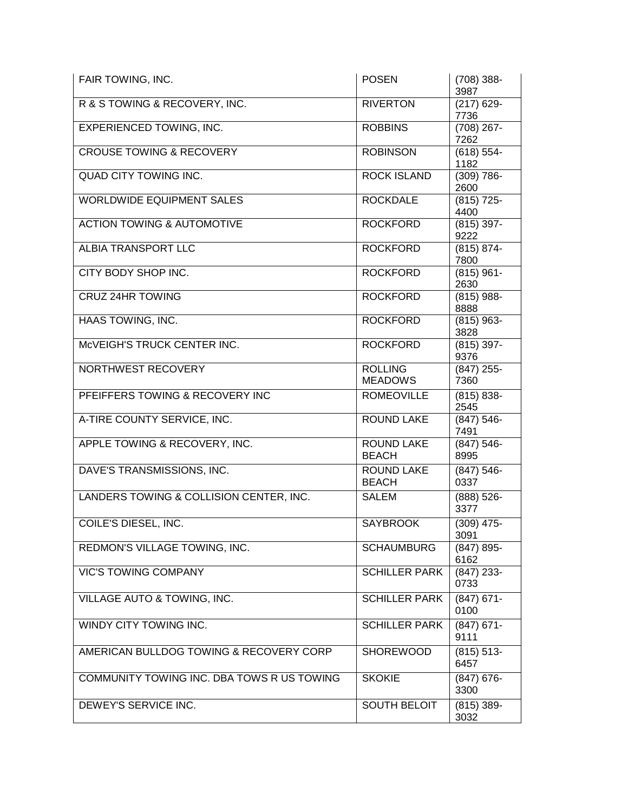| FAIR TOWING, INC.                          | <b>POSEN</b>                      | $(708)$ 388-<br>3987  |
|--------------------------------------------|-----------------------------------|-----------------------|
| R & S TOWING & RECOVERY, INC.              | <b>RIVERTON</b>                   | $(217)$ 629-<br>7736  |
| <b>EXPERIENCED TOWING, INC.</b>            | <b>ROBBINS</b>                    | $(708)$ 267-<br>7262  |
| <b>CROUSE TOWING &amp; RECOVERY</b>        | <b>ROBINSON</b>                   | $(618) 554 -$<br>1182 |
| QUAD CITY TOWING INC.                      | <b>ROCK ISLAND</b>                | $(309) 786 -$<br>2600 |
| <b>WORLDWIDE EQUIPMENT SALES</b>           | <b>ROCKDALE</b>                   | $(815) 725 -$<br>4400 |
| <b>ACTION TOWING &amp; AUTOMOTIVE</b>      | <b>ROCKFORD</b>                   | $(815)$ 397-<br>9222  |
| <b>ALBIA TRANSPORT LLC</b>                 | <b>ROCKFORD</b>                   | $(815) 874 -$<br>7800 |
| <b>CITY BODY SHOP INC.</b>                 | <b>ROCKFORD</b>                   | $(815) 961 -$<br>2630 |
| <b>CRUZ 24HR TOWING</b>                    | <b>ROCKFORD</b>                   | $(815)$ 988-<br>8888  |
| HAAS TOWING, INC.                          | <b>ROCKFORD</b>                   | $(815)$ 963-<br>3828  |
| McVEIGH'S TRUCK CENTER INC.                | <b>ROCKFORD</b>                   | $(815)$ 397-<br>9376  |
| NORTHWEST RECOVERY                         | <b>ROLLING</b><br><b>MEADOWS</b>  | $(847)$ 255-<br>7360  |
| PFEIFFERS TOWING & RECOVERY INC            | <b>ROMEOVILLE</b>                 | $(815) 838 -$<br>2545 |
| A-TIRE COUNTY SERVICE, INC.                | <b>ROUND LAKE</b>                 | $(847) 546-$<br>7491  |
| APPLE TOWING & RECOVERY, INC.              | <b>ROUND LAKE</b><br><b>BEACH</b> | $(847) 546 -$<br>8995 |
| DAVE'S TRANSMISSIONS, INC.                 | <b>ROUND LAKE</b><br><b>BEACH</b> | $(847) 546-$<br>0337  |
| LANDERS TOWING & COLLISION CENTER, INC.    | <b>SALEM</b>                      | $(888) 526 -$<br>3377 |
| <b>COILE'S DIESEL, INC.</b>                | <b>SAYBROOK</b>                   | $(309)$ 475-<br>3091  |
| REDMON'S VILLAGE TOWING, INC.              | <b>SCHAUMBURG</b>                 | $(847) 895 -$<br>6162 |
| <b>VIC'S TOWING COMPANY</b>                | <b>SCHILLER PARK</b>              | $(847)$ 233-<br>0733  |
| <b>VILLAGE AUTO &amp; TOWING, INC.</b>     | <b>SCHILLER PARK</b>              | $(847) 671 -$<br>0100 |
| WINDY CITY TOWING INC.                     | <b>SCHILLER PARK</b>              | $(847)$ 671-<br>9111  |
| AMERICAN BULLDOG TOWING & RECOVERY CORP    | <b>SHOREWOOD</b>                  | $(815) 513-$<br>6457  |
| COMMUNITY TOWING INC. DBA TOWS R US TOWING | <b>SKOKIE</b>                     | $(847) 676 -$<br>3300 |
| DEWEY'S SERVICE INC.                       | <b>SOUTH BELOIT</b>               | $(815)$ 389-<br>3032  |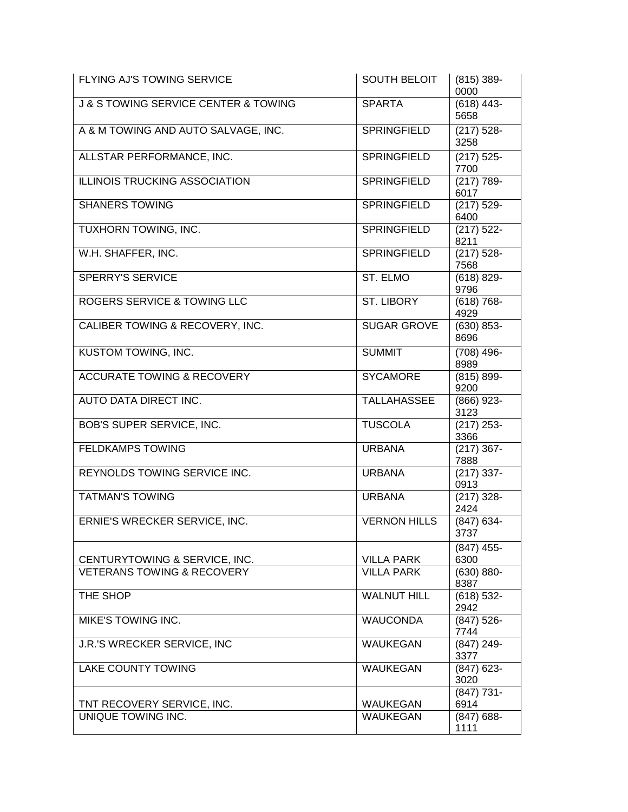| FLYING AJ'S TOWING SERVICE                          | <b>SOUTH BELOIT</b> | $(815)$ 389-<br>0000  |
|-----------------------------------------------------|---------------------|-----------------------|
| <b>J &amp; S TOWING SERVICE CENTER &amp; TOWING</b> | <b>SPARTA</b>       | $(618)$ 443-<br>5658  |
| A & M TOWING AND AUTO SALVAGE, INC.                 | <b>SPRINGFIELD</b>  | $(217) 528 -$<br>3258 |
| ALLSTAR PERFORMANCE, INC.                           | <b>SPRINGFIELD</b>  | $(217) 525 -$<br>7700 |
| <b>ILLINOIS TRUCKING ASSOCIATION</b>                | <b>SPRINGFIELD</b>  | $(217) 789 -$<br>6017 |
| <b>SHANERS TOWING</b>                               | <b>SPRINGFIELD</b>  | $(217) 529 -$<br>6400 |
| TUXHORN TOWING, INC.                                | <b>SPRINGFIELD</b>  | $(217) 522 -$<br>8211 |
| W.H. SHAFFER, INC.                                  | <b>SPRINGFIELD</b>  | $(217) 528 -$<br>7568 |
| <b>SPERRY'S SERVICE</b>                             | ST. ELMO            | $(618) 829 -$<br>9796 |
| ROGERS SERVICE & TOWING LLC                         | <b>ST. LIBORY</b>   | $(618) 768 -$<br>4929 |
| CALIBER TOWING & RECOVERY, INC.                     | <b>SUGAR GROVE</b>  | $(630) 853 -$<br>8696 |
| KUSTOM TOWING, INC.                                 | <b>SUMMIT</b>       | $(708)$ 496-<br>8989  |
| <b>ACCURATE TOWING &amp; RECOVERY</b>               | <b>SYCAMORE</b>     | $(815) 899 -$<br>9200 |
| AUTO DATA DIRECT INC.                               | <b>TALLAHASSEE</b>  | $(866)$ 923-<br>3123  |
| BOB'S SUPER SERVICE, INC.                           | <b>TUSCOLA</b>      | $(217)$ 253-<br>3366  |
| <b>FELDKAMPS TOWING</b>                             | <b>URBANA</b>       | $(217)$ 367-<br>7888  |
| REYNOLDS TOWING SERVICE INC.                        | <b>URBANA</b>       | $(217)$ 337-<br>0913  |
| <b>TATMAN'S TOWING</b>                              | <b>URBANA</b>       | $(217)$ 328-<br>2424  |
| ERNIE'S WRECKER SERVICE, INC.                       | <b>VERNON HILLS</b> | $(847) 634 -$<br>3737 |
| CENTURYTOWING & SERVICE, INC.                       | <b>VILLA PARK</b>   | $(847)$ 455-<br>6300  |
| <b>VETERANS TOWING &amp; RECOVERY</b>               | <b>VILLA PARK</b>   | $(630) 880 -$<br>8387 |
| THE SHOP                                            | <b>WALNUT HILL</b>  | $(618) 532 -$<br>2942 |
| <b>MIKE'S TOWING INC.</b>                           | <b>WAUCONDA</b>     | $(847) 526 -$<br>7744 |
| J.R.'S WRECKER SERVICE, INC                         | <b>WAUKEGAN</b>     | $(847)$ 249-<br>3377  |
| <b>LAKE COUNTY TOWING</b>                           | <b>WAUKEGAN</b>     | $(847)$ 623-<br>3020  |
| TNT RECOVERY SERVICE, INC.                          | WAUKEGAN            | $(847)$ 731-<br>6914  |
| UNIQUE TOWING INC.                                  | <b>WAUKEGAN</b>     | $(847) 688 -$<br>1111 |